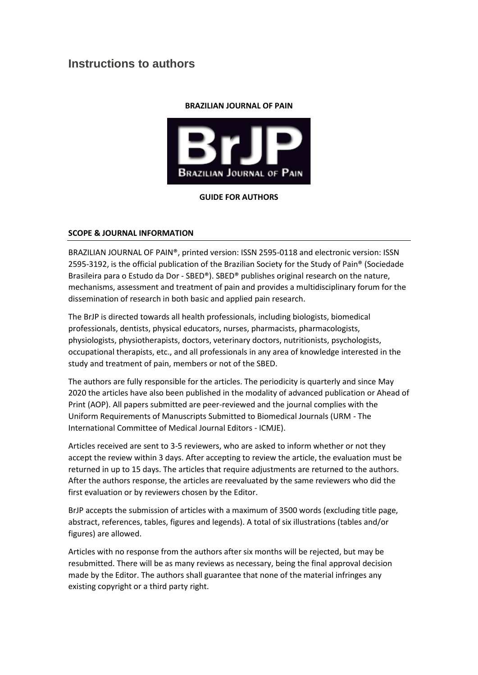# **Instructions to authors**

#### **BRAZILIAN JOURNAL OF PAIN**



## **GUIDE FOR AUTHORS**

## **SCOPE & JOURNAL INFORMATION**

BRAZILIAN JOURNAL OF PAIN®, printed version: ISSN 2595-0118 and electronic version: ISSN 2595-3192, is the official publication of the Brazilian Society for the Study of Pain® (Sociedade Brasileira para o Estudo da Dor - SBED®). SBED® publishes original research on the nature, mechanisms, assessment and treatment of pain and provides a multidisciplinary forum for the dissemination of research in both basic and applied pain research.

The BrJP is directed towards all health professionals, including biologists, biomedical professionals, dentists, physical educators, nurses, pharmacists, pharmacologists, physiologists, physiotherapists, doctors, veterinary doctors, nutritionists, psychologists, occupational therapists, etc., and all professionals in any area of knowledge interested in the study and treatment of pain, members or not of the SBED.

The authors are fully responsible for the articles. The periodicity is quarterly and since May 2020 the articles have also been published in the modality of advanced publication or Ahead of Print (AOP). All papers submitted are peer-reviewed and the journal complies with the Uniform Requirements of Manuscripts Submitted to Biomedical Journals (URM - The International Committee of Medical Journal Editors - ICMJE).

Articles received are sent to 3-5 reviewers, who are asked to inform whether or not they accept the review within 3 days. After accepting to review the article, the evaluation must be returned in up to 15 days. The articles that require adjustments are returned to the authors. After the authors response, the articles are reevaluated by the same reviewers who did the first evaluation or by reviewers chosen by the Editor.

BrJP accepts the submission of articles with a maximum of 3500 words (excluding title page, abstract, references, tables, figures and legends). A total of six illustrations (tables and/or figures) are allowed.

Articles with no response from the authors after six months will be rejected, but may be resubmitted. There will be as many reviews as necessary, being the final approval decision made by the Editor. The authors shall guarantee that none of the material infringes any existing copyright or a third party right.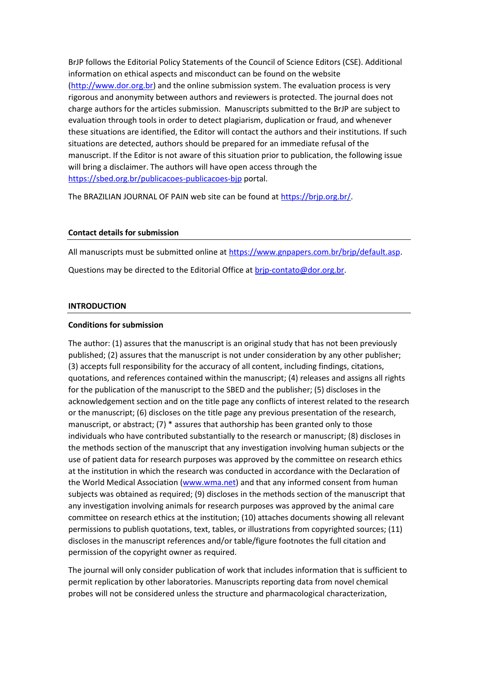BrJP follows the Editorial Policy Statements of the Council of Science Editors (CSE). Additional information on ethical aspects and misconduct can be found on the website [\(http://www.dor.org.br\)](http://www.dor.org.br/) and the online submission system. The evaluation process is very rigorous and anonymity between authors and reviewers is protected. The journal does not charge authors for the articles submission. Manuscripts submitted to the BrJP are subject to evaluation through tools in order to detect plagiarism, duplication or fraud, and whenever these situations are identified, the Editor will contact the authors and their institutions. If such situations are detected, authors should be prepared for an immediate refusal of the manuscript. If the Editor is not aware of this situation prior to publication, the following issue will bring a disclaimer. The authors will have open access through the <https://sbed.org.br/publicacoes-publicacoes-bjp> portal.

The BRAZILIAN JOURNAL OF PAIN web site can be found at [https://brjp.org.br/.](https://brjp.org.br/)

## **Contact details for submission**

All manuscripts must be submitted online at [https://www.gnpapers.com.br/brjp/default.asp.](https://www.gnpapers.com.br/brjp/default.asp) Questions may be directed to the Editorial Office a[t brjp-contato@dor.org.br.](mailto:brjp-contato@dor.org.br)

#### **INTRODUCTION**

#### **Conditions for submission**

The author: (1) assures that the manuscript is an original study that has not been previously published; (2) assures that the manuscript is not under consideration by any other publisher; (3) accepts full responsibility for the accuracy of all content, including findings, citations, quotations, and references contained within the manuscript; (4) releases and assigns all rights for the publication of the manuscript to the SBED and the publisher; (5) discloses in the acknowledgement section and on the title page any conflicts of interest related to the research or the manuscript; (6) discloses on the title page any previous presentation of the research, manuscript, or abstract; (7) \* assures that authorship has been granted only to those individuals who have contributed substantially to the research or manuscript; (8) discloses in the methods section of the manuscript that any investigation involving human subjects or the use of patient data for research purposes was approved by the committee on research ethics at the institution in which the research was conducted in accordance with the Declaration of the World Medical Association [\(www.wma.net\)](http://www.wma.net/) and that any informed consent from human subjects was obtained as required; (9) discloses in the methods section of the manuscript that any investigation involving animals for research purposes was approved by the animal care committee on research ethics at the institution; (10) attaches documents showing all relevant permissions to publish quotations, text, tables, or illustrations from copyrighted sources; (11) discloses in the manuscript references and/or table/figure footnotes the full citation and permission of the copyright owner as required.

The journal will only consider publication of work that includes information that is sufficient to permit replication by other laboratories. Manuscripts reporting data from novel chemical probes will not be considered unless the structure and pharmacological characterization,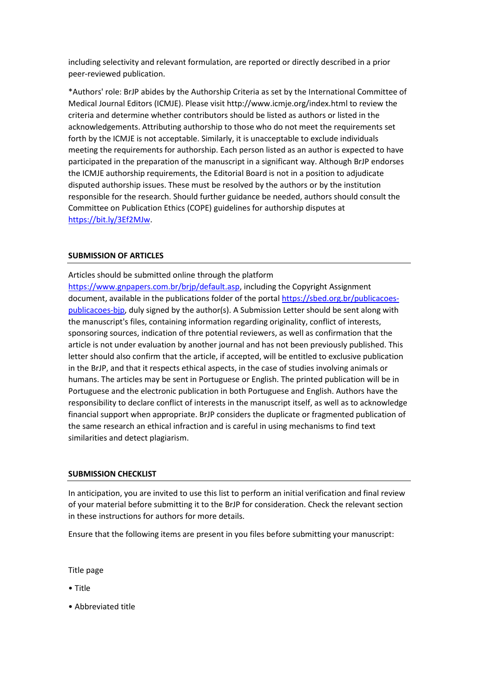including selectivity and relevant formulation, are reported or directly described in a prior peer-reviewed publication.

\*Authors' role: BrJP abides by the Authorship Criteria as set by the International Committee of Medical Journal Editors (ICMJE). Please visit http://www.icmje.org/index.html to review the criteria and determine whether contributors should be listed as authors or listed in the acknowledgements. Attributing authorship to those who do not meet the requirements set forth by the ICMJE is not acceptable. Similarly, it is unacceptable to exclude individuals meeting the requirements for authorship. Each person listed as an author is expected to have participated in the preparation of the manuscript in a significant way. Although BrJP endorses the ICMJE authorship requirements, the Editorial Board is not in a position to adjudicate disputed authorship issues. These must be resolved by the authors or by the institution responsible for the research. Should further guidance be needed, authors should consult the Committee on Publication Ethics (COPE) guidelines for authorship disputes at [https://bit.ly/3Ef2MJw.](https://bit.ly/3Ef2MJw)

## **SUBMISSION OF ARTICLES**

Articles should be submitted online through the platform [https://www.gnpapers.com.br/brjp/default.asp,](https://www.gnpapers.com.br/brjp/default.asp) including the Copyright Assignment document, available in the publications folder of the portal [https://sbed.org.br/publicacoes](https://sbed.org.br/publicacoes-publicacoes-bjp)[publicacoes-bjp,](https://sbed.org.br/publicacoes-publicacoes-bjp) duly signed by the author(s). A Submission Letter should be sent along with the manuscript's files, containing information regarding originality, conflict of interests, sponsoring sources, indication of thre potential reviewers, as well as confirmation that the article is not under evaluation by another journal and has not been previously published. This letter should also confirm that the article, if accepted, will be entitled to exclusive publication in the BrJP, and that it respects ethical aspects, in the case of studies involving animals or humans. The articles may be sent in Portuguese or English. The printed publication will be in Portuguese and the electronic publication in both Portuguese and English. Authors have the responsibility to declare conflict of interests in the manuscript itself, as well as to acknowledge financial support when appropriate. BrJP considers the duplicate or fragmented publication of the same research an ethical infraction and is careful in using mechanisms to find text similarities and detect plagiarism.

#### **SUBMISSION CHECKLIST**

In anticipation, you are invited to use this list to perform an initial verification and final review of your material before submitting it to the BrJP for consideration. Check the relevant section in these instructions for authors for more details.

Ensure that the following items are present in you files before submitting your manuscript:

Title page

• Title

• Abbreviated title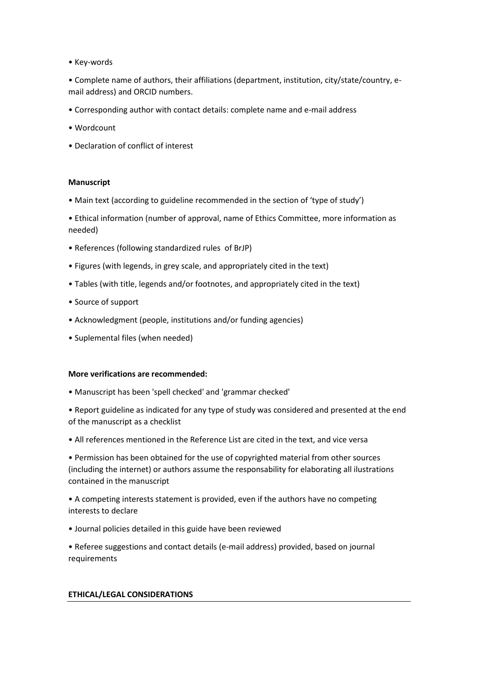• Key-words

• Complete name of authors, their affiliations (department, institution, city/state/country, email address) and ORCID numbers.

- Corresponding author with contact details: complete name and e-mail address
- Wordcount
- Declaration of conflict of interest

#### **Manuscript**

- Main text (according to guideline recommended in the section of 'type of study')
- Ethical information (number of approval, name of Ethics Committee, more information as needed)
- References (following standardized rules of BrJP)
- Figures (with legends, in grey scale, and appropriately cited in the text)
- Tables (with title, legends and/or footnotes, and appropriately cited in the text)
- Source of support
- Acknowledgment (people, institutions and/or funding agencies)
- Suplemental files (when needed)

#### **More verifications are recommended:**

- Manuscript has been 'spell checked' and 'grammar checked'
- Report guideline as indicated for any type of study was considered and presented at the end of the manuscript as a checklist
- All references mentioned in the Reference List are cited in the text, and vice versa

• Permission has been obtained for the use of copyrighted material from other sources (including the internet) or authors assume the responsability for elaborating all ilustrations contained in the manuscript

• A competing interests statement is provided, even if the authors have no competing interests to declare

- Journal policies detailed in this guide have been reviewed
- Referee suggestions and contact details (e-mail address) provided, based on journal requirements

#### **ETHICAL/LEGAL CONSIDERATIONS**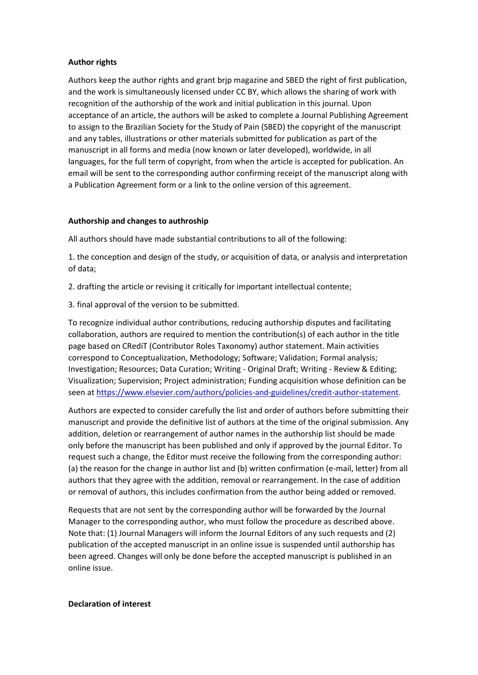#### **Author rights**

Authors keep the author rights and grant brjp magazine and SBED the right of first publication, and the work is simultaneously licensed under CC BY, which allows the sharing of work with recognition of the authorship of the work and initial publication in this journal. Upon acceptance of an article, the authors will be asked to complete a Journal Publishing Agreement to assign to the Brazilian Society for the Study of Pain (SBED) the copyright of the manuscript and any tables, illustrations or other materials submitted for publication as part of the manuscript in all forms and media (now known or later developed), worldwide, in all languages, for the full term of copyright, from when the article is accepted for publication. An email will be sent to the corresponding author confirming receipt of the manuscript along with a Publication Agreement form or a link to the online version of this agreement.

## **Authorship and changes to authroship**

All authors should have made substantial contributions to all of the following:

1. the conception and design of the study, or acquisition of data, or analysis and interpretation of data;

- 2. drafting the article or revising it critically for important intellectual contente;
- 3. final approval of the version to be submitted.

To recognize individual author contributions, reducing authorship disputes and facilitating collaboration, authors are required to mention the contribution(s) of each author in the title page based on CRediT (Contributor Roles Taxonomy) author statement. Main activities correspond to Conceptualization, Methodology; Software; Validation; Formal analysis; Investigation; Resources; Data Curation; Writing - Original Draft; Writing - Review & Editing; Visualization; Supervision; Project administration; Funding acquisition whose definition can be seen at [https://www.elsevier.com/authors/policies-and-guidelines/credit-author-statement.](https://www.elsevier.com/authors/policies-and-guidelines/credit-author-statement)

Authors are expected to consider carefully the list and order of authors before submitting their manuscript and provide the definitive list of authors at the time of the original submission. Any addition, deletion or rearrangement of author names in the authorship list should be made only before the manuscript has been published and only if approved by the journal Editor. To request such a change, the Editor must receive the following from the corresponding author: (a) the reason for the change in author list and (b) written confirmation (e-mail, letter) from all authors that they agree with the addition, removal or rearrangement. In the case of addition or removal of authors, this includes confirmation from the author being added or removed.

Requests that are not sent by the corresponding author will be forwarded by the Journal Manager to the corresponding author, who must follow the procedure as described above. Note that: (1) Journal Managers will inform the Journal Editors of any such requests and (2) publication of the accepted manuscript in an online issue is suspended until authorship has been agreed. Changes will only be done before the accepted manuscript is published in an online issue.

#### **Declaration of interest**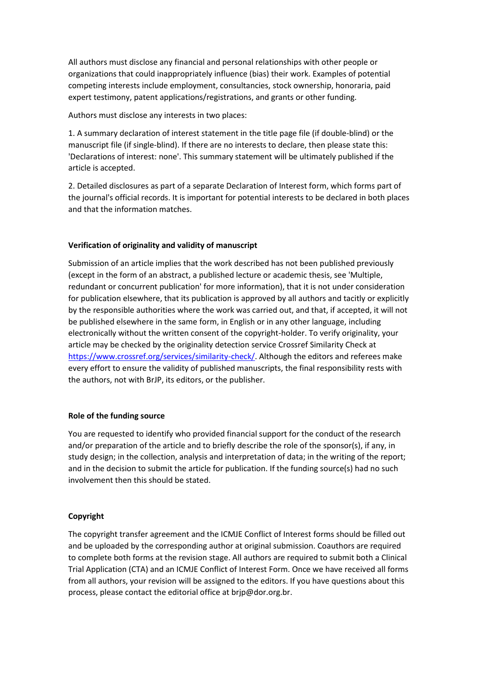All authors must disclose any financial and personal relationships with other people or organizations that could inappropriately influence (bias) their work. Examples of potential competing interests include employment, consultancies, stock ownership, honoraria, paid expert testimony, patent applications/registrations, and grants or other funding.

Authors must disclose any interests in two places:

1. A summary declaration of interest statement in the title page file (if double-blind) or the manuscript file (if single-blind). If there are no interests to declare, then please state this: 'Declarations of interest: none'. This summary statement will be ultimately published if the article is accepted.

2. Detailed disclosures as part of a separate Declaration of Interest form, which forms part of the journal's official records. It is important for potential interests to be declared in both places and that the information matches.

# **Verification of originality and validity of manuscript**

Submission of an article implies that the work described has not been published previously (except in the form of an abstract, a published lecture or academic thesis, see 'Multiple, redundant or concurrent publication' for more information), that it is not under consideration for publication elsewhere, that its publication is approved by all authors and tacitly or explicitly by the responsible authorities where the work was carried out, and that, if accepted, it will not be published elsewhere in the same form, in English or in any other language, including electronically without the written consent of the copyright-holder. To verify originality, your article may be checked by the originality detection service Crossref Similarity Check at [https://www.crossref.org/services/similarity-check/.](https://www.crossref.org/services/similarity-check/) Although the editors and referees make every effort to ensure the validity of published manuscripts, the final responsibility rests with the authors, not with BrJP, its editors, or the publisher.

#### **Role of the funding source**

You are requested to identify who provided financial support for the conduct of the research and/or preparation of the article and to briefly describe the role of the sponsor(s), if any, in study design; in the collection, analysis and interpretation of data; in the writing of the report; and in the decision to submit the article for publication. If the funding source(s) had no such involvement then this should be stated.

# **Copyright**

The copyright transfer agreement and the ICMJE Conflict of Interest forms should be filled out and be uploaded by the corresponding author at original submission. Coauthors are required to complete both forms at the revision stage. All authors are required to submit both a Clinical Trial Application (CTA) and an ICMJE Conflict of Interest Form. Once we have received all forms from all authors, your revision will be assigned to the editors. If you have questions about this process, please contact the editorial office at brjp@dor.org.br.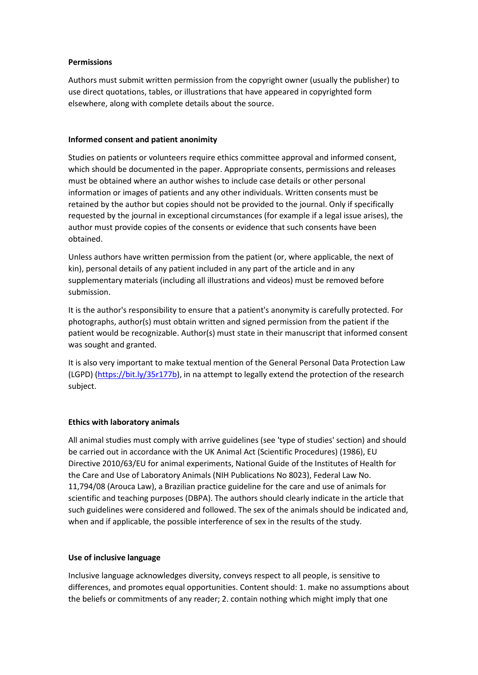## **Permissions**

Authors must submit written permission from the copyright owner (usually the publisher) to use direct quotations, tables, or illustrations that have appeared in copyrighted form elsewhere, along with complete details about the source.

#### **Informed consent and patient anonimity**

Studies on patients or volunteers require ethics committee approval and informed consent, which should be documented in the paper. Appropriate consents, permissions and releases must be obtained where an author wishes to include case details or other personal information or images of patients and any other individuals. Written consents must be retained by the author but copies should not be provided to the journal. Only if specifically requested by the journal in exceptional circumstances (for example if a legal issue arises), the author must provide copies of the consents or evidence that such consents have been obtained.

Unless authors have written permission from the patient (or, where applicable, the next of kin), personal details of any patient included in any part of the article and in any supplementary materials (including all illustrations and videos) must be removed before submission.

It is the author's responsibility to ensure that a patient's anonymity is carefully protected. For photographs, author(s) must obtain written and signed permission from the patient if the patient would be recognizable. Author(s) must state in their manuscript that informed consent was sought and granted.

It is also very important to make textual mention of the General Personal Data Protection Law (LGPD) [\(https://bit.ly/35r177b\)](https://bit.ly/35r177b), in na attempt to legally extend the protection of the research subject.

# **Ethics with laboratory animals**

All animal studies must comply with arrive guidelines (see 'type of studies' section) and should be carried out in accordance with the UK Animal Act (Scientific Procedures) (1986), EU Directive 2010/63/EU for animal experiments, National Guide of the Institutes of Health for the Care and Use of Laboratory Animals (NIH Publications No 8023), Federal Law No. 11,794/08 (Arouca Law), a Brazilian practice guideline for the care and use of animals for scientific and teaching purposes (DBPA). The authors should clearly indicate in the article that such guidelines were considered and followed. The sex of the animals should be indicated and, when and if applicable, the possible interference of sex in the results of the study.

#### **Use of inclusive language**

Inclusive language acknowledges diversity, conveys respect to all people, is sensitive to differences, and promotes equal opportunities. Content should: 1. make no assumptions about the beliefs or commitments of any reader; 2. contain nothing which might imply that one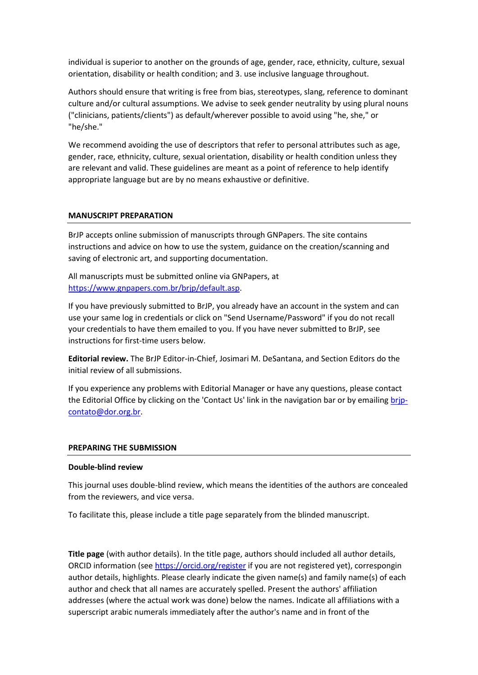individual is superior to another on the grounds of age, gender, race, ethnicity, culture, sexual orientation, disability or health condition; and 3. use inclusive language throughout.

Authors should ensure that writing is free from bias, stereotypes, slang, reference to dominant culture and/or cultural assumptions. We advise to seek gender neutrality by using plural nouns ("clinicians, patients/clients") as default/wherever possible to avoid using "he, she," or "he/she."

We recommend avoiding the use of descriptors that refer to personal attributes such as age, gender, race, ethnicity, culture, sexual orientation, disability or health condition unless they are relevant and valid. These guidelines are meant as a point of reference to help identify appropriate language but are by no means exhaustive or definitive.

#### **MANUSCRIPT PREPARATION**

BrJP accepts online submission of manuscripts through GNPapers. The site contains instructions and advice on how to use the system, guidance on the creation/scanning and saving of electronic art, and supporting documentation.

All manuscripts must be submitted online via GNPapers, at [https://www.gnpapers.com.br/brjp/default.asp.](https://www.gnpapers.com.br/brjp/default.asp)

If you have previously submitted to BrJP, you already have an account in the system and can use your same log in credentials or click on "Send Username/Password" if you do not recall your credentials to have them emailed to you. If you have never submitted to BrJP, see instructions for first-time users below.

**Editorial review.** The BrJP Editor-in-Chief, Josimari M. DeSantana, and Section Editors do the initial review of all submissions.

If you experience any problems with Editorial Manager or have any questions, please contact the Editorial Office by clicking on the 'Contact Us' link in the navigation bar or by emailing [brjp](mailto:brjp-contato@dor.org.br)[contato@dor.org.br.](mailto:brjp-contato@dor.org.br)

#### **PREPARING THE SUBMISSION**

#### **Double-blind review**

This journal uses double-blind review, which means the identities of the authors are concealed from the reviewers, and vice versa.

To facilitate this, please include a title page separately from the blinded manuscript.

**Title page** (with author details). In the title page, authors should included all author details, ORCID information (see<https://orcid.org/register> if you are not registered yet), correspongin author details, highlights. Please clearly indicate the given name(s) and family name(s) of each author and check that all names are accurately spelled. Present the authors' affiliation addresses (where the actual work was done) below the names. Indicate all affiliations with a superscript arabic numerals immediately after the author's name and in front of the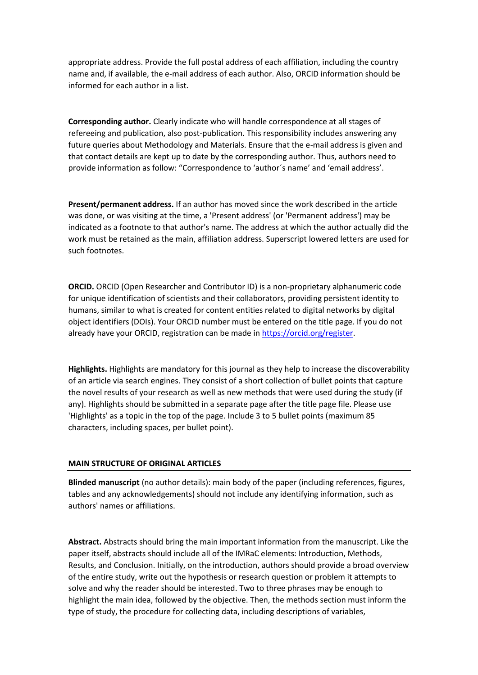appropriate address. Provide the full postal address of each affiliation, including the country name and, if available, the e-mail address of each author. Also, ORCID information should be informed for each author in a list.

**Corresponding author.** Clearly indicate who will handle correspondence at all stages of refereeing and publication, also post-publication. This responsibility includes answering any future queries about Methodology and Materials. Ensure that the e-mail address is given and that contact details are kept up to date by the corresponding author. Thus, authors need to provide information as follow: "Correspondence to 'author´s name' and 'email address'.

**Present/permanent address.** If an author has moved since the work described in the article was done, or was visiting at the time, a 'Present address' (or 'Permanent address') may be indicated as a footnote to that author's name. The address at which the author actually did the work must be retained as the main, affiliation address. Superscript lowered letters are used for such footnotes.

**ORCID.** ORCID (Open Researcher and Contributor ID) is a non-proprietary alphanumeric code for unique identification of scientists and their collaborators, providing persistent identity to humans, similar to what is created for content entities related to digital networks by digital object identifiers (DOIs). Your ORCID number must be entered on the title page. If you do not already have your ORCID, registration can be made i[n https://orcid.org/register.](https://orcid.org/register)

**Highlights.** Highlights are mandatory for this journal as they help to increase the discoverability of an article via search engines. They consist of a short collection of bullet points that capture the novel results of your research as well as new methods that were used during the study (if any). Highlights should be submitted in a separate page after the title page file. Please use 'Highlights' as a topic in the top of the page. Include 3 to 5 bullet points (maximum 85 characters, including spaces, per bullet point).

#### **MAIN STRUCTURE OF ORIGINAL ARTICLES**

**Blinded manuscript** (no author details): main body of the paper (including references, figures, tables and any acknowledgements) should not include any identifying information, such as authors' names or affiliations.

**Abstract.** Abstracts should bring the main important information from the manuscript. Like the paper itself, abstracts should include all of the IMRaC elements: Introduction, Methods, Results, and Conclusion. Initially, on the introduction, authors should provide a broad overview of the entire study, write out the hypothesis or research question or problem it attempts to solve and why the reader should be interested. Two to three phrases may be enough to highlight the main idea, followed by the objective. Then, the methods section must inform the type of study, the procedure for collecting data, including descriptions of variables,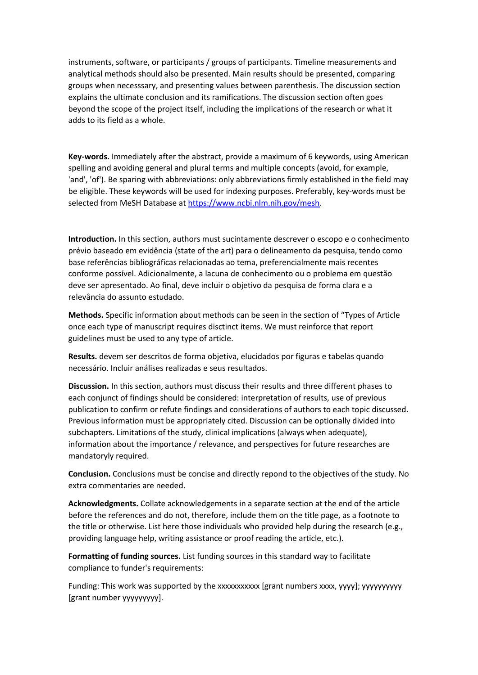instruments, software, or participants / groups of participants. Timeline measurements and analytical methods should also be presented. Main results should be presented, comparing groups when necesssary, and presenting values between parenthesis. The discussion section explains the ultimate conclusion and its ramifications. The discussion section often goes beyond the scope of the project itself, including the implications of the research or what it adds to its field as a whole.

**Key-words.** Immediately after the abstract, provide a maximum of 6 keywords, using American spelling and avoiding general and plural terms and multiple concepts (avoid, for example, 'and', 'of'). Be sparing with abbreviations: only abbreviations firmly established in the field may be eligible. These keywords will be used for indexing purposes. Preferably, key-words must be selected from MeSH Database at [https://www.ncbi.nlm.nih.gov/mesh.](https://www.ncbi.nlm.nih.gov/mesh)

**Introduction.** In this section, authors must sucintamente descrever o escopo e o conhecimento prévio baseado em evidência (state of the art) para o delineamento da pesquisa, tendo como base referências bibliográficas relacionadas ao tema, preferencialmente mais recentes conforme possível. Adicionalmente, a lacuna de conhecimento ou o problema em questão deve ser apresentado. Ao final, deve incluir o objetivo da pesquisa de forma clara e a relevância do assunto estudado.

**Methods.** Specific information about methods can be seen in the section of "Types of Article once each type of manuscript requires disctinct items. We must reinforce that report guidelines must be used to any type of article.

**Results.** devem ser descritos de forma objetiva, elucidados por figuras e tabelas quando necessário. Incluir análises realizadas e seus resultados.

**Discussion.** In this section, authors must discuss their results and three different phases to each conjunct of findings should be considered: interpretation of results, use of previous publication to confirm or refute findings and considerations of authors to each topic discussed. Previous information must be appropriately cited. Discussion can be optionally divided into subchapters. Limitations of the study, clinical implications (always when adequate), information about the importance / relevance, and perspectives for future researches are mandatoryly required.

**Conclusion.** Conclusions must be concise and directly repond to the objectives of the study. No extra commentaries are needed.

**Acknowledgments.** Collate acknowledgements in a separate section at the end of the article before the references and do not, therefore, include them on the title page, as a footnote to the title or otherwise. List here those individuals who provided help during the research (e.g., providing language help, writing assistance or proof reading the article, etc.).

**Formatting of funding sources.** List funding sources in this standard way to facilitate compliance to funder's requirements:

Funding: This work was supported by the xxxxxxxxxxx [grant numbers xxxx, yyyy]; yyyyyyyyyy [grant number yyyyyyyyy].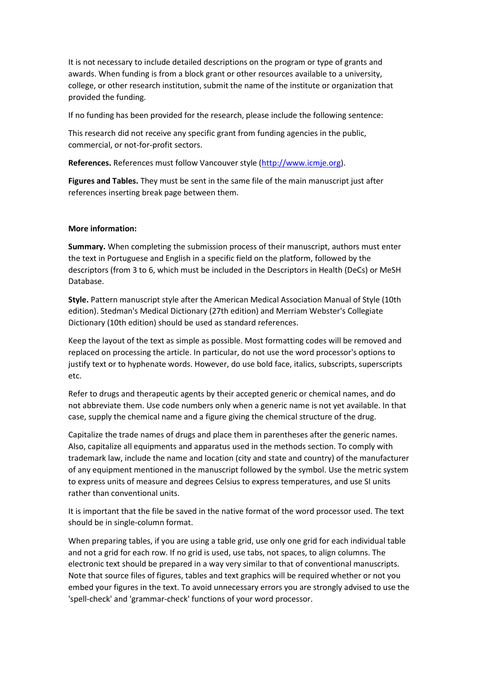It is not necessary to include detailed descriptions on the program or type of grants and awards. When funding is from a block grant or other resources available to a university, college, or other research institution, submit the name of the institute or organization that provided the funding.

If no funding has been provided for the research, please include the following sentence:

This research did not receive any specific grant from funding agencies in the public, commercial, or not-for-profit sectors.

**References.** References must follow Vancouver style [\(http://www.icmje.org\)](http://www.icmje.org/).

**Figures and Tables.** They must be sent in the same file of the main manuscript just after references inserting break page between them.

#### **More information:**

**Summary.** When completing the submission process of their manuscript, authors must enter the text in Portuguese and English in a specific field on the platform, followed by the descriptors (from 3 to 6, which must be included in the Descriptors in Health (DeCs) or MeSH Database.

**Style.** Pattern manuscript style after the American Medical Association Manual of Style (10th edition). Stedman's Medical Dictionary (27th edition) and Merriam Webster's Collegiate Dictionary (10th edition) should be used as standard references.

Keep the layout of the text as simple as possible. Most formatting codes will be removed and replaced on processing the article. In particular, do not use the word processor's options to justify text or to hyphenate words. However, do use bold face, italics, subscripts, superscripts etc.

Refer to drugs and therapeutic agents by their accepted generic or chemical names, and do not abbreviate them. Use code numbers only when a generic name is not yet available. In that case, supply the chemical name and a figure giving the chemical structure of the drug.

Capitalize the trade names of drugs and place them in parentheses after the generic names. Also, capitalize all equipments and apparatus used in the methods section. To comply with trademark law, include the name and location (city and state and country) of the manufacturer of any equipment mentioned in the manuscript followed by the symbol. Use the metric system to express units of measure and degrees Celsius to express temperatures, and use SI units rather than conventional units.

It is important that the file be saved in the native format of the word processor used. The text should be in single-column format.

When preparing tables, if you are using a table grid, use only one grid for each individual table and not a grid for each row. If no grid is used, use tabs, not spaces, to align columns. The electronic text should be prepared in a way very similar to that of conventional manuscripts. Note that source files of figures, tables and text graphics will be required whether or not you embed your figures in the text. To avoid unnecessary errors you are strongly advised to use the 'spell-check' and 'grammar-check' functions of your word processor.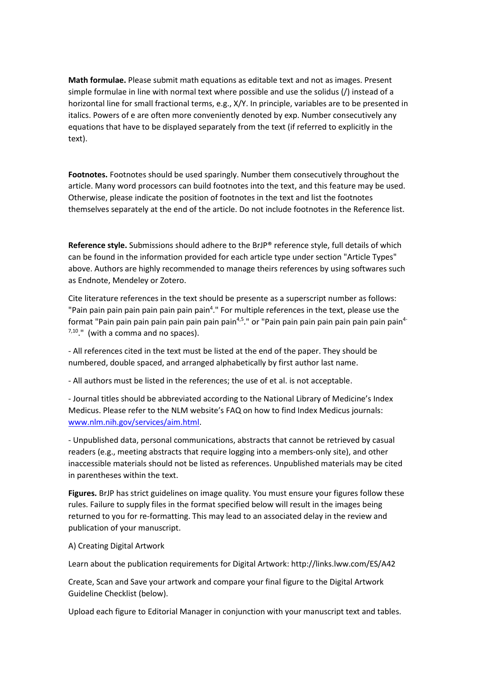**Math formulae.** Please submit math equations as editable text and not as images. Present simple formulae in line with normal text where possible and use the solidus (/) instead of a horizontal line for small fractional terms, e.g., X/Y. In principle, variables are to be presented in italics. Powers of e are often more conveniently denoted by exp. Number consecutively any equations that have to be displayed separately from the text (if referred to explicitly in the text).

**Footnotes.** Footnotes should be used sparingly. Number them consecutively throughout the article. Many word processors can build footnotes into the text, and this feature may be used. Otherwise, please indicate the position of footnotes in the text and list the footnotes themselves separately at the end of the article. Do not include footnotes in the Reference list.

**Reference style.** Submissions should adhere to the BrJP® reference style, full details of which can be found in the information provided for each article type under section "Article Types" above. Authors are highly recommended to manage theirs references by using softwares such as Endnote, Mendeley or Zotero.

Cite literature references in the text should be presente as a superscript number as follows: "Pain pain pain pain pain pain pain pain<sup>4</sup>." For multiple references in the text, please use the format "Pain pain pain pain pain pain pain pain<sup>4,5</sup>." or "Pain pain pain pain pain pain pain pain<sup>4-</sup>  $7,10$ ." (with a comma and no spaces).

‐ All references cited in the text must be listed at the end of the paper. They should be numbered, double spaced, and arranged alphabetically by first author last name.

‐ All authors must be listed in the references; the use of et al. is not acceptable.

‐ Journal titles should be abbreviated according to the National Library of Medicine's Index Medicus. Please refer to the NLM website's FAQ on how to find Index Medicus journals: [www.nlm.nih.gov/services/aim.html.](http://www.nlm.nih.gov/services/aim.html)

‐ Unpublished data, personal communications, abstracts that cannot be retrieved by casual readers (e.g., meeting abstracts that require logging into a members-only site), and other inaccessible materials should not be listed as references. Unpublished materials may be cited in parentheses within the text.

**Figures.** BrJP has strict guidelines on image quality. You must ensure your figures follow these rules. Failure to supply files in the format specified below will result in the images being returned to you for re-formatting. This may lead to an associated delay in the review and publication of your manuscript.

#### A) Creating Digital Artwork

Learn about the publication requirements for Digital Artwork: http://links.lww.com/ES/A42

Create, Scan and Save your artwork and compare your final figure to the Digital Artwork Guideline Checklist (below).

Upload each figure to Editorial Manager in conjunction with your manuscript text and tables.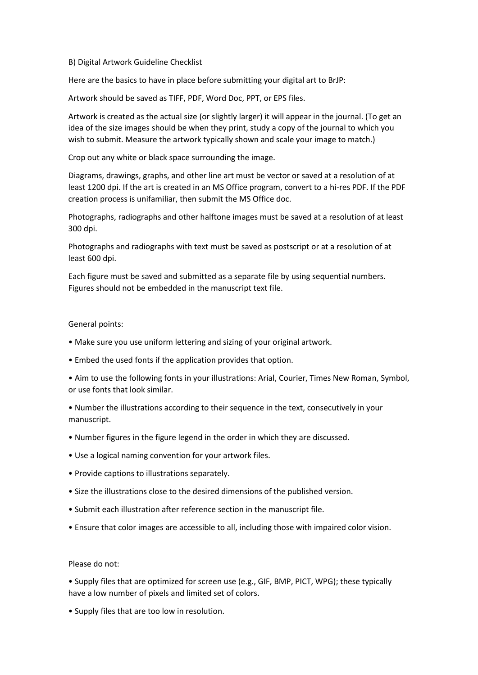#### B) Digital Artwork Guideline Checklist

Here are the basics to have in place before submitting your digital art to BrJP:

Artwork should be saved as TIFF, PDF, Word Doc, PPT, or EPS files.

Artwork is created as the actual size (or slightly larger) it will appear in the journal. (To get an idea of the size images should be when they print, study a copy of the journal to which you wish to submit. Measure the artwork typically shown and scale your image to match.)

Crop out any white or black space surrounding the image.

Diagrams, drawings, graphs, and other line art must be vector or saved at a resolution of at least 1200 dpi. If the art is created in an MS Office program, convert to a hi-res PDF. If the PDF creation process is unifamiliar, then submit the MS Office doc.

Photographs, radiographs and other halftone images must be saved at a resolution of at least 300 dpi.

Photographs and radiographs with text must be saved as postscript or at a resolution of at least 600 dpi.

Each figure must be saved and submitted as a separate file by using sequential numbers. Figures should not be embedded in the manuscript text file.

#### General points:

- Make sure you use uniform lettering and sizing of your original artwork.
- Embed the used fonts if the application provides that option.
- Aim to use the following fonts in your illustrations: Arial, Courier, Times New Roman, Symbol, or use fonts that look similar.
- Number the illustrations according to their sequence in the text, consecutively in your manuscript.
- Number figures in the figure legend in the order in which they are discussed.
- Use a logical naming convention for your artwork files.
- Provide captions to illustrations separately.
- Size the illustrations close to the desired dimensions of the published version.
- Submit each illustration after reference section in the manuscript file.
- Ensure that color images are accessible to all, including those with impaired color vision.

#### Please do not:

• Supply files that are optimized for screen use (e.g., GIF, BMP, PICT, WPG); these typically have a low number of pixels and limited set of colors.

• Supply files that are too low in resolution.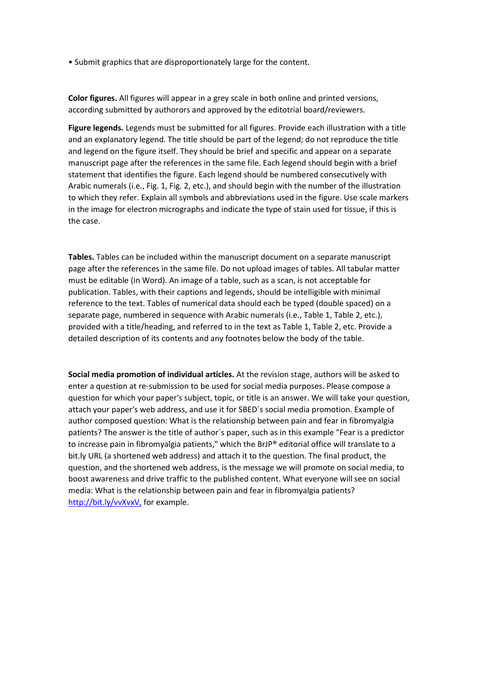• Submit graphics that are disproportionately large for the content.

**Color figures.** All figures will appear in a grey scale in both online and printed versions, according submitted by authorors and approved by the editotrial board/reviewers.

**Figure legends.** Legends must be submitted for all figures. Provide each illustration with a title and an explanatory legend. The title should be part of the legend; do not reproduce the title and legend on the figure itself. They should be brief and specific and appear on a separate manuscript page after the references in the same file. Each legend should begin with a brief statement that identifies the figure. Each legend should be numbered consecutively with Arabic numerals (i.e., Fig. 1, Fig. 2, etc.), and should begin with the number of the illustration to which they refer. Explain all symbols and abbreviations used in the figure. Use scale markers in the image for electron micrographs and indicate the type of stain used for tissue, if this is the case.

**Tables.** Tables can be included within the manuscript document on a separate manuscript page after the references in the same file. Do not upload images of tables. All tabular matter must be editable (in Word). An image of a table, such as a scan, is not acceptable for publication. Tables, with their captions and legends, should be intelligible with minimal reference to the text. Tables of numerical data should each be typed (double spaced) on a separate page, numbered in sequence with Arabic numerals (i.e., Table 1, Table 2, etc.), provided with a title/heading, and referred to in the text as Table 1, Table 2, etc. Provide a detailed description of its contents and any footnotes below the body of the table.

**Social media promotion of individual articles.** At the revision stage, authors will be asked to enter a question at re-submission to be used for social media purposes. Please compose a question for which your paper's subject, topic, or title is an answer. We will take your question, attach your paper's web address, and use it for SBED´s social media promotion. Example of author composed question: What is the relationship between pain and fear in fibromyalgia patients? The answer is the title of author´s paper, such as in this example "Fear is a predictor to increase pain in fibromyalgia patients," which the BrJP® editorial office will translate to a bit.ly URL (a shortened web address) and attach it to the question. The final product, the question, and the shortened web address, is the message we will promote on social media, to boost awareness and drive traffic to the published content. What everyone will see on social media: What is the relationship between pain and fear in fibromyalgia patients? <http://bit.ly/vvXvxV,> for example.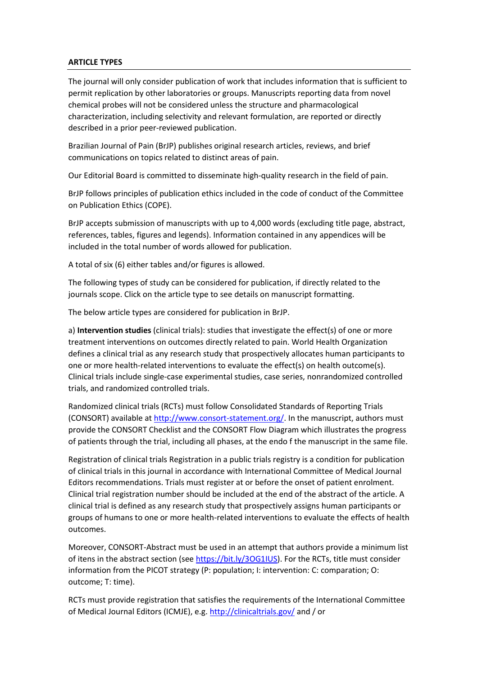#### **ARTICLE TYPES**

The journal will only consider publication of work that includes information that is sufficient to permit replication by other laboratories or groups. Manuscripts reporting data from novel chemical probes will not be considered unless the structure and pharmacological characterization, including selectivity and relevant formulation, are reported or directly described in a prior peer-reviewed publication.

Brazilian Journal of Pain (BrJP) publishes original research articles, reviews, and brief communications on topics related to distinct areas of pain.

Our Editorial Board is committed to disseminate high-quality research in the field of pain.

BrJP follows principles of publication ethics included in the code of conduct of the Committee on Publication Ethics (COPE).

BrJP accepts submission of manuscripts with up to 4,000 words (excluding title page, abstract, references, tables, figures and legends). Information contained in any appendices will be included in the total number of words allowed for publication.

A total of six (6) either tables and/or figures is allowed.

The following types of study can be considered for publication, if directly related to the journals scope. Click on the article type to see details on manuscript formatting.

The below article types are considered for publication in BrJP.

a) **Intervention studies** (clinical trials): studies that investigate the effect(s) of one or more treatment interventions on outcomes directly related to pain. World Health Organization defines a clinical trial as any research study that prospectively allocates human participants to one or more health-related interventions to evaluate the effect(s) on health outcome(s). Clinical trials include single-case experimental studies, case series, nonrandomized controlled trials, and randomized controlled trials.

Randomized clinical trials (RCTs) must follow Consolidated Standards of Reporting Trials (CONSORT) available at [http://www.consort-statement.org/.](http://www.consort-statement.org/) In the manuscript, authors must provide the CONSORT Checklist and the CONSORT Flow Diagram which illustrates the progress of patients through the trial, including all phases, at the endo f the manuscript in the same file.

Registration of clinical trials Registration in a public trials registry is a condition for publication of clinical trials in this journal in accordance with International Committee of Medical Journal Editors recommendations. Trials must register at or before the onset of patient enrolment. Clinical trial registration number should be included at the end of the abstract of the article. A clinical trial is defined as any research study that prospectively assigns human participants or groups of humans to one or more health-related interventions to evaluate the effects of health outcomes.

Moreover, CONSORT-Abstract must be used in an attempt that authors provide a minimum list of itens in the abstract section (see [https://bit.ly/3OG1IUS\)](https://bit.ly/3OG1IUS). For the RCTs, title must consider information from the PICOT strategy (P: population; I: intervention: C: comparation; O: outcome; T: time).

RCTs must provide registration that satisfies the requirements of the International Committee of Medical Journal Editors (ICMJE), e.g.<http://clinicaltrials.gov/> and / or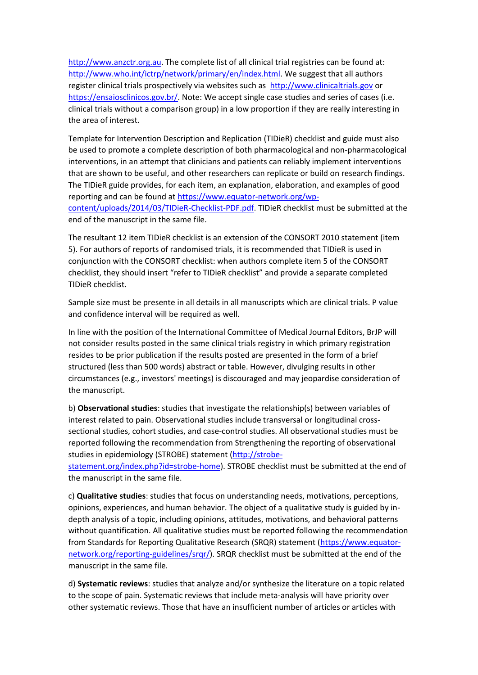[http://www.anzctr.org.au.](http://www.anzctr.org.au/) The complete list of all clinical trial registries can be found at: [http://www.who.int/ictrp/network/primary/en/index.html.](http://www.who.int/ictrp/network/primary/en/index.html) We suggest that all authors register clinical trials prospectively via websites such as [http://www.clinicaltrials.gov](http://www.clinicaltrials.gov/) or [https://ensaiosclinicos.gov.br/.](https://ensaiosclinicos.gov.br/) Note: We accept single case studies and series of cases (i.e. clinical trials without a comparison group) in a low proportion if they are really interesting in the area of interest.

Template for Intervention Description and Replication (TIDieR) checklist and guide must also be used to promote a complete description of both pharmacological and non-pharmacological interventions, in an attempt that clinicians and patients can reliably implement interventions that are shown to be useful, and other researchers can replicate or build on research findings. The TIDieR guide provides, for each item, an explanation, elaboration, and examples of good reporting and can be found at [https://www.equator-network.org/wp](https://www.equator-network.org/wp-content/uploads/2014/03/TIDieR-Checklist-PDF.pdf)[content/uploads/2014/03/TIDieR-Checklist-PDF.pdf.](https://www.equator-network.org/wp-content/uploads/2014/03/TIDieR-Checklist-PDF.pdf) TIDieR checklist must be submitted at the end of the manuscript in the same file.

The resultant 12 item TIDieR checklist is an extension of the CONSORT 2010 statement (item 5). For authors of reports of randomised trials, it is recommended that TIDieR is used in conjunction with the CONSORT checklist: when authors complete item 5 of the CONSORT checklist, they should insert "refer to TIDieR checklist" and provide a separate completed TIDieR checklist.

Sample size must be presente in all details in all manuscripts which are clinical trials. P value and confidence interval will be required as well.

In line with the position of the International Committee of Medical Journal Editors, BrJP will not consider results posted in the same clinical trials registry in which primary registration resides to be prior publication if the results posted are presented in the form of a brief structured (less than 500 words) abstract or table. However, divulging results in other circumstances (e.g., investors' meetings) is discouraged and may jeopardise consideration of the manuscript.

b) **Observational studies**: studies that investigate the relationship(s) between variables of interest related to pain. Observational studies include transversal or longitudinal crosssectional studies, cohort studies, and case-control studies. All observational studies must be reported following the recommendation from Strengthening the reporting of observational studies in epidemiology (STROBE) statement [\(http://strobe-](http://strobe-statement.org/index.php?id=strobe-home)

[statement.org/index.php?id=strobe-home\)](http://strobe-statement.org/index.php?id=strobe-home). STROBE checklist must be submitted at the end of the manuscript in the same file.

c) **Qualitative studies**: studies that focus on understanding needs, motivations, perceptions, opinions, experiences, and human behavior. The object of a qualitative study is guided by indepth analysis of a topic, including opinions, attitudes, motivations, and behavioral patterns without quantification. All qualitative studies must be reported following the recommendation from Standards for Reporting Qualitative Research (SRQR) statement [\(https://www.equator](https://www.equator-network.org/reporting-guidelines/srqr/)[network.org/reporting-guidelines/srqr/\)](https://www.equator-network.org/reporting-guidelines/srqr/). SRQR checklist must be submitted at the end of the manuscript in the same file.

d) **Systematic reviews**: studies that analyze and/or synthesize the literature on a topic related to the scope of pain. Systematic reviews that include meta-analysis will have priority over other systematic reviews. Those that have an insufficient number of articles or articles with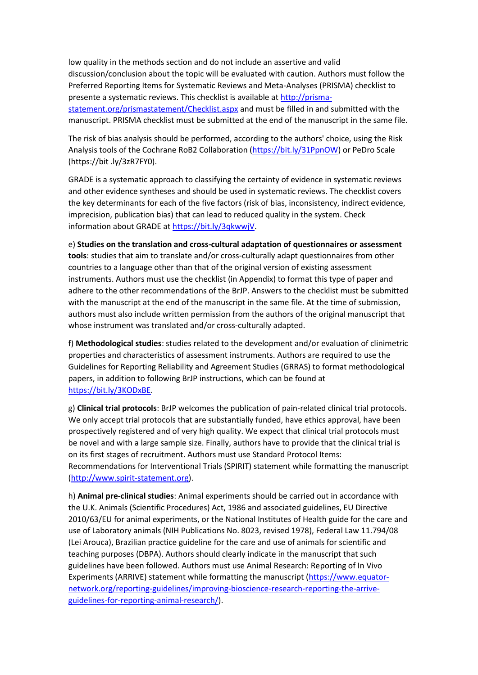low quality in the methods section and do not include an assertive and valid discussion/conclusion about the topic will be evaluated with caution. Authors must follow the Preferred Reporting Items for Systematic Reviews and Meta-Analyses (PRISMA) checklist to presente a systematic reviews. This checklist is available at [http://prisma](http://prisma-statement.org/prismastatement/Checklist.aspx)[statement.org/prismastatement/Checklist.aspx](http://prisma-statement.org/prismastatement/Checklist.aspx) and must be filled in and submitted with the manuscript. PRISMA checklist must be submitted at the end of the manuscript in the same file.

The risk of bias analysis should be performed, according to the authors' choice, using the Risk Analysis tools of the Cochrane RoB2 Collaboration [\(https://bit.ly/31PpnOW\)](https://bit.ly/31PpnOW) or PeDro Scale (https://bit .ly/3zR7FY0).

GRADE is a systematic approach to classifying the certainty of evidence in systematic reviews and other evidence syntheses and should be used in systematic reviews. The checklist covers the key determinants for each of the five factors (risk of bias, inconsistency, indirect evidence, imprecision, publication bias) that can lead to reduced quality in the system. Check information about GRADE at [https://bit.ly/3qkwwjV.](https://bit.ly/3qkwwjV)

e) **Studies on the translation and cross-cultural adaptation of questionnaires or assessment tools**: studies that aim to translate and/or cross-culturally adapt questionnaires from other countries to a language other than that of the original version of existing assessment instruments. Authors must use the checklist (in Appendix) to format this type of paper and adhere to the other recommendations of the BrJP. Answers to the checklist must be submitted with the manuscript at the end of the manuscript in the same file. At the time of submission, authors must also include written permission from the authors of the original manuscript that whose instrument was translated and/or cross-culturally adapted.

f) **Methodological studies**: studies related to the development and/or evaluation of clinimetric properties and characteristics of assessment instruments. Authors are required to use the Guidelines for Reporting Reliability and Agreement Studies (GRRAS) to format methodological papers, in addition to following BrJP instructions, which can be found at [https://bit.ly/3KODxBE.](https://bit.ly/3KODxBE)

g) **Clinical trial protocols**: BrJP welcomes the publication of pain-related clinical trial protocols. We only accept trial protocols that are substantially funded, have ethics approval, have been prospectively registered and of very high quality. We expect that clinical trial protocols must be novel and with a large sample size. Finally, authors have to provide that the clinical trial is on its first stages of recruitment. Authors must use Standard Protocol Items: Recommendations for Interventional Trials (SPIRIT) statement while formatting the manuscript [\(http://www.spirit-statement.org\)](http://www.spirit-statement.org/).

h) **Animal pre-clinical studies**: Animal experiments should be carried out in accordance with the U.K. Animals (Scientific Procedures) Act, 1986 and associated guidelines, EU Directive 2010/63/EU for animal experiments, or the National Institutes of Health guide for the care and use of Laboratory animals (NIH Publications No. 8023, revised 1978), Federal Law 11.794/08 (Lei Arouca), Brazilian practice guideline for the care and use of animals for scientific and teaching purposes (DBPA). Authors should clearly indicate in the manuscript that such guidelines have been followed. Authors must use Animal Research: Reporting of In Vivo Experiments (ARRIVE) statement while formatting the manuscript [\(https://www.equator](https://www.equator-network.org/reporting-guidelines/improving-bioscience-research-reporting-the-arrive-guidelines-for-reporting-animal-research/)[network.org/reporting-guidelines/improving-bioscience-research-reporting-the-arrive](https://www.equator-network.org/reporting-guidelines/improving-bioscience-research-reporting-the-arrive-guidelines-for-reporting-animal-research/)[guidelines-for-reporting-animal-research/\)](https://www.equator-network.org/reporting-guidelines/improving-bioscience-research-reporting-the-arrive-guidelines-for-reporting-animal-research/).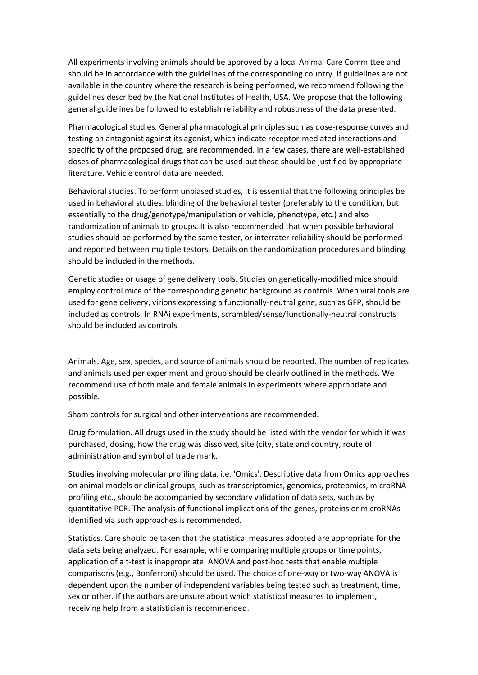All experiments involving animals should be approved by a local Animal Care Committee and should be in accordance with the guidelines of the corresponding country. If guidelines are not available in the country where the research is being performed, we recommend following the guidelines described by the National Institutes of Health, USA. We propose that the following general guidelines be followed to establish reliability and robustness of the data presented.

Pharmacological studies. General pharmacological principles such as dose-response curves and testing an antagonist against its agonist, which indicate receptor-mediated interactions and specificity of the proposed drug, are recommended. In a few cases, there are well-established doses of pharmacological drugs that can be used but these should be justified by appropriate literature. Vehicle control data are needed.

Behavioral studies. To perform unbiased studies, it is essential that the following principles be used in behavioral studies: blinding of the behavioral tester (preferably to the condition, but essentially to the drug/genotype/manipulation or vehicle, phenotype, etc.) and also randomization of animals to groups. It is also recommended that when possible behavioral studies should be performed by the same tester, or interrater reliability should be performed and reported between multiple testors. Details on the randomization procedures and blinding should be included in the methods.

Genetic studies or usage of gene delivery tools. Studies on genetically-modified mice should employ control mice of the corresponding genetic background as controls. When viral tools are used for gene delivery, virions expressing a functionally-neutral gene, such as GFP, should be included as controls. In RNAi experiments, scrambled/sense/functionally-neutral constructs should be included as controls.

Animals. Age, sex, species, and source of animals should be reported. The number of replicates and animals used per experiment and group should be clearly outlined in the methods. We recommend use of both male and female animals in experiments where appropriate and possible.

Sham controls for surgical and other interventions are recommended.

Drug formulation. All drugs used in the study should be listed with the vendor for which it was purchased, dosing, how the drug was dissolved, site (city, state and country, route of administration and symbol of trade mark.

Studies involving molecular profiling data, i.e. 'Omics'. Descriptive data from Omics approaches on animal models or clinical groups, such as transcriptomics, genomics, proteomics, microRNA profiling etc., should be accompanied by secondary validation of data sets, such as by quantitative PCR. The analysis of functional implications of the genes, proteins or microRNAs identified via such approaches is recommended.

Statistics. Care should be taken that the statistical measures adopted are appropriate for the data sets being analyzed. For example, while comparing multiple groups or time points, application of a t-test is inappropriate. ANOVA and post-hoc tests that enable multiple comparisons (e.g., Bonferroni) should be used. The choice of one-way or two-way ANOVA is dependent upon the number of independent variables being tested such as treatment, time, sex or other. If the authors are unsure about which statistical measures to implement, receiving help from a statistician is recommended.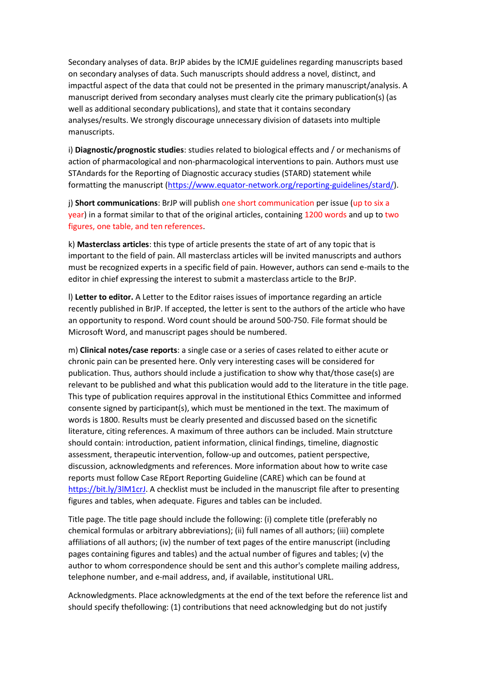Secondary analyses of data. BrJP abides by the ICMJE guidelines regarding manuscripts based on secondary analyses of data. Such manuscripts should address a novel, distinct, and impactful aspect of the data that could not be presented in the primary manuscript/analysis. A manuscript derived from secondary analyses must clearly cite the primary publication(s) (as well as additional secondary publications), and state that it contains secondary analyses/results. We strongly discourage unnecessary division of datasets into multiple manuscripts.

i) **Diagnostic/prognostic studies**: studies related to biological effects and / or mechanisms of action of pharmacological and non-pharmacological interventions to pain. Authors must use STAndards for the Reporting of Diagnostic accuracy studies (STARD) statement while formatting the manuscript [\(https://www.equator-network.org/reporting-guidelines/stard/\)](https://www.equator-network.org/reporting-guidelines/stard/).

j) **Short communications**: BrJP will publish one short communication per issue (up to six a year) in a format similar to that of the original articles, containing 1200 words and up to two figures, one table, and ten references.

k) **Masterclass articles**: this type of article presents the state of art of any topic that is important to the field of pain. All masterclass articles will be invited manuscripts and authors must be recognized experts in a specific field of pain. However, authors can send e-mails to the editor in chief expressing the interest to submit a masterclass article to the BrJP.

l) **Letter to editor.** A Letter to the Editor raises issues of importance regarding an article recently published in BrJP. If accepted, the letter is sent to the authors of the article who have an opportunity to respond. Word count should be around 500‐750. File format should be Microsoft Word, and manuscript pages should be numbered.

m) **Clinical notes/case reports**: a single case or a series of cases related to either acute or chronic pain can be presented here. Only very interesting cases will be considered for publication. Thus, authors should include a justification to show why that/those case(s) are relevant to be published and what this publication would add to the literature in the title page. This type of publication requires approval in the institutional Ethics Committee and informed consente signed by participant(s), which must be mentioned in the text. The maximum of words is 1800. Results must be clearly presented and discussed based on the sicnetific literature, citing references. A maximum of three authors can be included. Main strutcture should contain: introduction, patient information, clinical findings, timeline, diagnostic assessment, therapeutic intervention, follow-up and outcomes, patient perspective, discussion, acknowledgments and references. More information about how to write case reports must follow Case REport Reporting Guideline (CARE) which can be found at [https://bit.ly/3lM1crJ.](https://bit.ly/3lM1crJ) A checklist must be included in the manuscript file after to presenting figures and tables, when adequate. Figures and tables can be included.

Title page. The title page should include the following: (i) complete title (preferably no chemical formulas or arbitrary abbreviations); (ii) full names of all authors; (iii) complete affiliations of all authors; (iv) the number of text pages of the entire manuscript (including pages containing figures and tables) and the actual number of figures and tables; (v) the author to whom correspondence should be sent and this author's complete mailing address, telephone number, and e‐mail address, and, if available, institutional URL.

Acknowledgments. Place acknowledgments at the end of the text before the reference list and should specify thefollowing: (1) contributions that need acknowledging but do not justify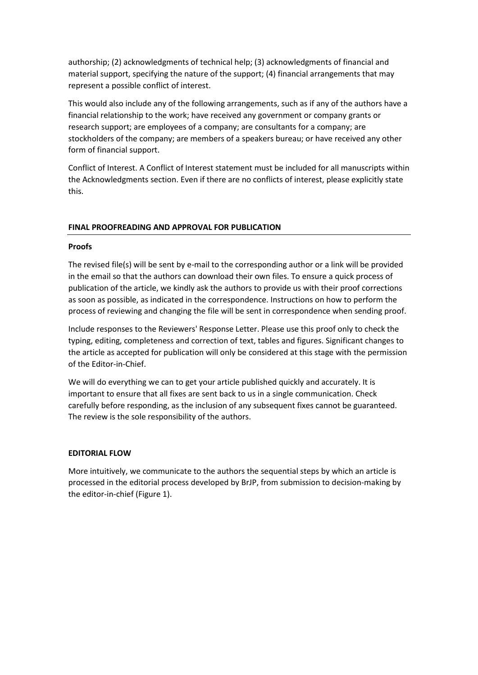authorship; (2) acknowledgments of technical help; (3) acknowledgments of financial and material support, specifying the nature of the support; (4) financial arrangements that may represent a possible conflict of interest.

This would also include any of the following arrangements, such as if any of the authors have a financial relationship to the work; have received any government or company grants or research support; are employees of a company; are consultants for a company; are stockholders of the company; are members of a speakers bureau; or have received any other form of financial support.

Conflict of Interest. A Conflict of Interest statement must be included for all manuscripts within the Acknowledgments section. Even if there are no conflicts of interest, please explicitly state this.

## **FINAL PROOFREADING AND APPROVAL FOR PUBLICATION**

#### **Proofs**

The revised file(s) will be sent by e-mail to the corresponding author or a link will be provided in the email so that the authors can download their own files. To ensure a quick process of publication of the article, we kindly ask the authors to provide us with their proof corrections as soon as possible, as indicated in the correspondence. Instructions on how to perform the process of reviewing and changing the file will be sent in correspondence when sending proof.

Include responses to the Reviewers' Response Letter. Please use this proof only to check the typing, editing, completeness and correction of text, tables and figures. Significant changes to the article as accepted for publication will only be considered at this stage with the permission of the Editor-in-Chief.

We will do everything we can to get your article published quickly and accurately. It is important to ensure that all fixes are sent back to us in a single communication. Check carefully before responding, as the inclusion of any subsequent fixes cannot be guaranteed. The review is the sole responsibility of the authors.

#### **EDITORIAL FLOW**

More intuitively, we communicate to the authors the sequential steps by which an article is processed in the editorial process developed by BrJP, from submission to decision-making by the editor-in-chief (Figure 1).